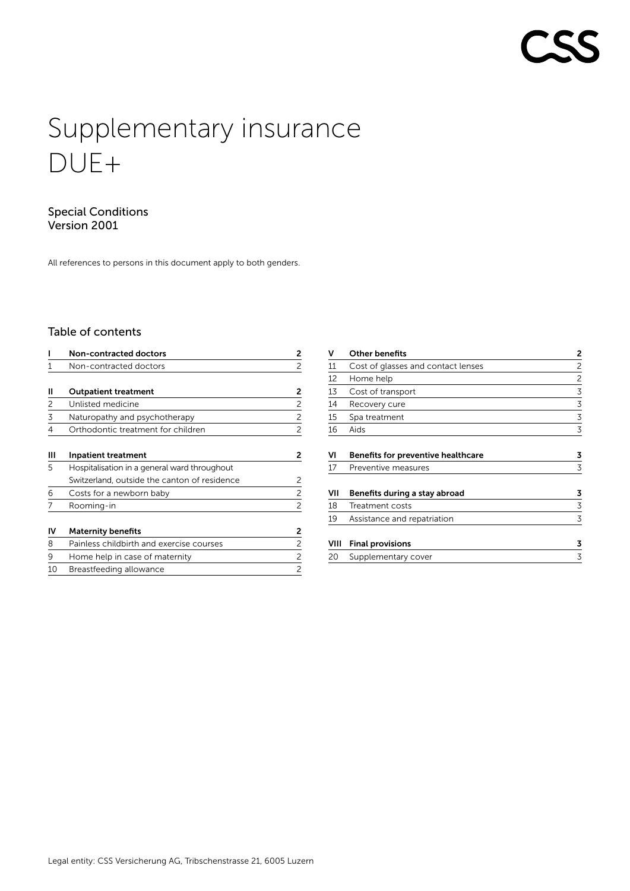# Supplementary insurance DUE+

# Special Conditions Version 2001

All references to persons in this document apply to both genders.

# Table of contents

|    | Non-contracted doctors                       | 2              |
|----|----------------------------------------------|----------------|
|    | Non-contracted doctors                       | 2              |
|    |                                              |                |
| Ш  | <b>Outpatient treatment</b>                  | 2              |
| 2  | Unlisted medicine                            | 2              |
| 3  | Naturopathy and psychotherapy                | 2              |
| 4  | Orthodontic treatment for children           | 2              |
| Ш  | <b>Inpatient treatment</b>                   | 2              |
| 5  | Hospitalisation in a general ward throughout |                |
|    | Switzerland, outside the canton of residence | 2              |
| 6  | Costs for a newborn baby                     | 2              |
|    | Rooming-in                                   | 2              |
| IV | <b>Maternity benefits</b>                    | 2              |
| 8  | Painless childbirth and exercise courses     | 2              |
| 9  | Home help in case of maternity               | 2              |
| 10 | Breastfeeding allowance                      | $\overline{c}$ |

| v    | <b>Other benefits</b>                     | 2 |
|------|-------------------------------------------|---|
| 11   | Cost of glasses and contact lenses        | 2 |
| 12   | Home help                                 | 2 |
| 13   | Cost of transport                         | 3 |
| 14   | Recovery cure                             | 3 |
| 15   | Spa treatment                             | 3 |
| 16   | Aids                                      | 3 |
| VI   | <b>Benefits for preventive healthcare</b> | 3 |
| 17   | Preventive measures                       | 3 |
| VII  | Benefits during a stay abroad             | 3 |
| 18   | Treatment costs                           | 3 |
| 19   | Assistance and repatriation               | 3 |
| VIII | <b>Final provisions</b>                   | 3 |
| 20   | Supplementary cover                       | 3 |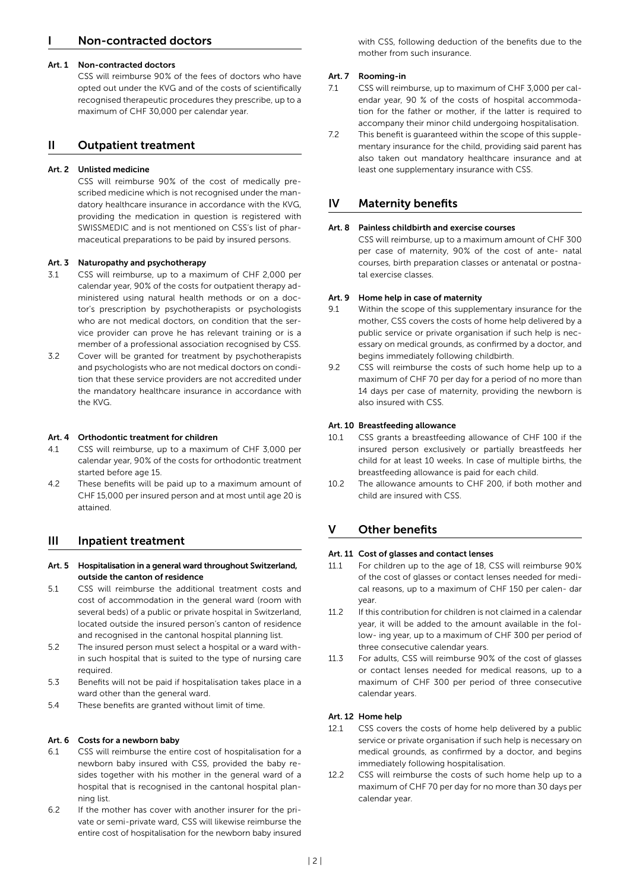# <span id="page-1-0"></span>Non-contracted doctors

#### Art. 1 Non-contracted doctors

CSS will reimburse 90% of the fees of doctors who have opted out under the KVG and of the costs of scientifically recognised therapeutic procedures they prescribe, up to a maximum of CHF 30,000 per calendar year.

# II Outpatient treatment

### Art. 2 Unlisted medicine

CSS will reimburse 90% of the cost of medically prescribed medicine which is not recognised under the mandatory healthcare insurance in accordance with the KVG, providing the medication in question is registered with SWISSMEDIC and is not mentioned on CSS's list of pharmaceutical preparations to be paid by insured persons.

### Art. 3 Naturopathy and psychotherapy

- 3.1 CSS will reimburse, up to a maximum of CHF 2,000 per calendar year, 90% of the costs for outpatient therapy administered using natural health methods or on a doctor's prescription by psychotherapists or psychologists who are not medical doctors, on condition that the service provider can prove he has relevant training or is a member of a professional association recognised by CSS.
- 3.2 Cover will be granted for treatment by psychotherapists and psychologists who are not medical doctors on condition that these service providers are not accredited under the mandatory healthcare insurance in accordance with the KVG.

### Art. 4 Orthodontic treatment for children

- 4.1 CSS will reimburse, up to a maximum of CHF 3,000 per calendar year, 90% of the costs for orthodontic treatment started before age 15.
- 4.2 These benefits will be paid up to a maximum amount of CHF 15,000 per insured person and at most until age 20 is attained.

# III Inpatient treatment

- Art. 5 Hospitalisation in a general ward throughout Switzerland, outside the canton of residence
- 5.1 CSS will reimburse the additional treatment costs and cost of accommodation in the general ward (room with several beds) of a public or private hospital in Switzerland, located outside the insured person's canton of residence and recognised in the cantonal hospital planning list.
- 5.2 The insured person must select a hospital or a ward within such hospital that is suited to the type of nursing care required.
- 5.3 Benefits will not be paid if hospitalisation takes place in a ward other than the general ward.
- 5.4 These benefits are granted without limit of time.

# Art. 6 Costs for a newborn baby

- 6.1 CSS will reimburse the entire cost of hospitalisation for a newborn baby insured with CSS, provided the baby resides together with his mother in the general ward of a hospital that is recognised in the cantonal hospital planning list.
- 6.2 If the mother has cover with another insurer for the private or semi-private ward, CSS will likewise reimburse the entire cost of hospitalisation for the newborn baby insured

with CSS, following deduction of the benefits due to the mother from such insurance.

#### Art. 7 Rooming-in

- 7.1 CSS will reimburse, up to maximum of CHF 3,000 per calendar year, 90 % of the costs of hospital accommodation for the father or mother, if the latter is required to accompany their minor child undergoing hospitalisation.
- 7.2 This benefit is guaranteed within the scope of this supplementary insurance for the child, providing said parent has also taken out mandatory healthcare insurance and at least one supplementary insurance with CSS.

# IV Maternity benefits

#### Art. 8 Painless childbirth and exercise courses

CSS will reimburse, up to a maximum amount of CHF 300 per case of maternity, 90% of the cost of ante- natal courses, birth preparation classes or antenatal or postnatal exercise classes.

#### Art. 9 Home help in case of maternity

- 9.1 Within the scope of this supplementary insurance for the mother, CSS covers the costs of home help delivered by a public service or private organisation if such help is necessary on medical grounds, as confirmed by a doctor, and begins immediately following childbirth.
- 9.2 CSS will reimburse the costs of such home help up to a maximum of CHF 70 per day for a period of no more than 14 days per case of maternity, providing the newborn is also insured with CSS.

### Art. 10 Breastfeeding allowance

- 10.1 CSS grants a breastfeeding allowance of CHF 100 if the insured person exclusively or partially breastfeeds her child for at least 10 weeks. In case of multiple births, the breastfeeding allowance is paid for each child.
- 10.2 The allowance amounts to CHF 200, if both mother and child are insured with CSS.

# V Other benefits

#### Art. 11 Cost of glasses and contact lenses

- 11.1 For children up to the age of 18, CSS will reimburse 90% of the cost of glasses or contact lenses needed for medical reasons, up to a maximum of CHF 150 per calen- dar year.
- 11.2 If this contribution for children is not claimed in a calendar year, it will be added to the amount available in the follow- ing year, up to a maximum of CHF 300 per period of three consecutive calendar years.
- 11.3 For adults, CSS will reimburse 90% of the cost of glasses or contact lenses needed for medical reasons, up to a maximum of CHF 300 per period of three consecutive calendar years.

### Art. 12 Home help

- 12.1 CSS covers the costs of home help delivered by a public service or private organisation if such help is necessary on medical grounds, as confirmed by a doctor, and begins immediately following hospitalisation.
- 12.2 CSS will reimburse the costs of such home help up to a maximum of CHF 70 per day for no more than 30 days per calendar year.